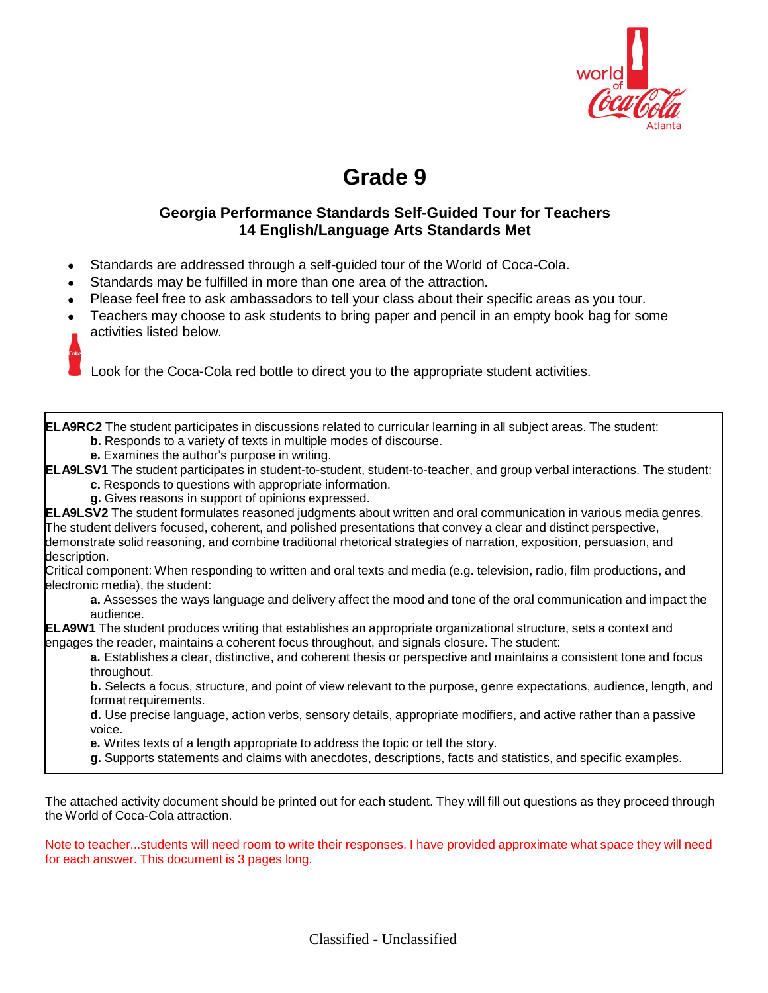

# **Grade 9**

## **Georgia Performance Standards Self-Guided Tour for Teachers 14 English/Language Arts Standards Met**

- Standards are addressed through a self-guided tour of the World of Coca-Cola.
- Standards may be fulfilled in more than one area of the attraction.
- Please feel free to ask ambassadors to tell your class about their specific areas as you tour.
- Teachers may choose to ask students to bring paper and pencil in an empty book bag for some activities listed below.

Look for the Coca-Cola red bottle to direct you to the appropriate student activities.

**ELA9RC2** The student participates in discussions related to curricular learning in all subject areas. The student: **b.** Responds to a variety of texts in multiple modes of discourse.

- 
- **e.** Examines the author's purpose in writing.

**ELA9LSV1** The student participates in student-to-student, student-to-teacher, and group verbal interactions. The student:

- **c.** Responds to questions with appropriate information.
- **g.** Gives reasons in support of opinions expressed.

**ELA9LSV2** The student formulates reasoned judgments about written and oral communication in various media genres. The student delivers focused, coherent, and polished presentations that convey a clear and distinct perspective, demonstrate solid reasoning, and combine traditional rhetorical strategies of narration, exposition, persuasion, and description.

Critical component: When responding to written and oral texts and media (e.g. television, radio, film productions, and electronic media), the student:

**a.** Assesses the ways language and delivery affect the mood and tone of the oral communication and impact the audience.

**ELA9W1** The student produces writing that establishes an appropriate organizational structure, sets a context and engages the reader, maintains a coherent focus throughout, and signals closure. The student:

**a.** Establishes a clear, distinctive, and coherent thesis or perspective and maintains a consistent tone and focus throughout.

**b.** Selects a focus, structure, and point of view relevant to the purpose, genre expectations, audience, length, and format requirements.

**d.** Use precise language, action verbs, sensory details, appropriate modifiers, and active rather than a passive voice.

- **e.** Writes texts of a length appropriate to address the topic or tell the story.
- **g.** Supports statements and claims with anecdotes, descriptions, facts and statistics, and specific examples.

The attached activity document should be printed out for each student. They will fill out questions as they proceed through the World of Coca-Cola attraction.

Note to teacher...students will need room to write their responses. I have provided approximate what space they will need for each answer. This document is 3 pages long.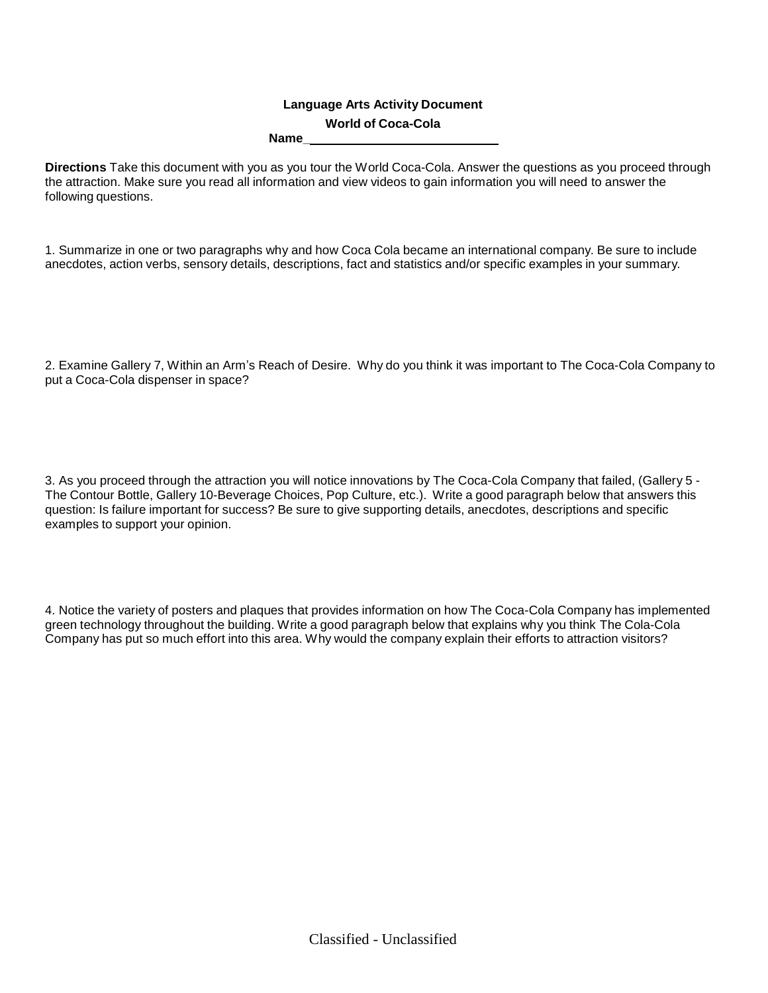#### **Language Arts Activity Document World of Coca-Cola Name\_**

**Directions** Take this document with you as you tour the World Coca-Cola. Answer the questions as you proceed through the attraction. Make sure you read all information and view videos to gain information you will need to answer the following questions.

1. Summarize in one or two paragraphs why and how Coca Cola became an international company. Be sure to include anecdotes, action verbs, sensory details, descriptions, fact and statistics and/or specific examples in your summary.

2. Examine Gallery 7, Within an Arm's Reach of Desire. Why do you think it was important to The Coca-Cola Company to put a Coca-Cola dispenser in space?

3. As you proceed through the attraction you will notice innovations by The Coca-Cola Company that failed, (Gallery 5 - The Contour Bottle, Gallery 10-Beverage Choices, Pop Culture, etc.). Write a good paragraph below that answers this question: Is failure important for success? Be sure to give supporting details, anecdotes, descriptions and specific examples to support your opinion.

4. Notice the variety of posters and plaques that provides information on how The Coca-Cola Company has implemented green technology throughout the building. Write a good paragraph below that explains why you think The Cola-Cola Company has put so much effort into this area. Why would the company explain their efforts to attraction visitors?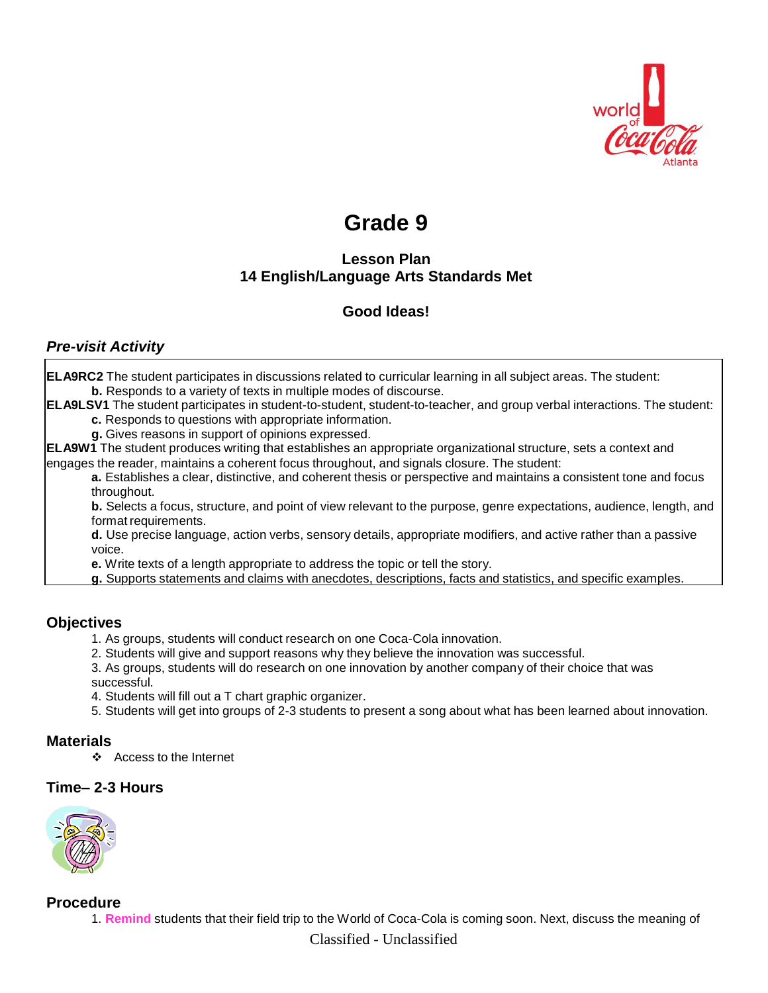

# **Grade 9**

# **Lesson Plan 14 English/Language Arts Standards Met**

# **Good Ideas!**

## *Pre-visit Activity*

| <b>ELA9RC2</b> The student participates in discussions related to curricular learning in all subject areas. The student:<br><b>b.</b> Responds to a variety of texts in multiple modes of discourse. |
|------------------------------------------------------------------------------------------------------------------------------------------------------------------------------------------------------|
| <b>ELA9LSV1</b> The student participates in student-to-student, student-to-teacher, and group verbal interactions. The student:                                                                      |
| c. Responds to questions with appropriate information.                                                                                                                                               |
| g. Gives reasons in support of opinions expressed.                                                                                                                                                   |
| <b>ELA9W1</b> The student produces writing that establishes an appropriate organizational structure, sets a context and                                                                              |
| engages the reader, maintains a coherent focus throughout, and signals closure. The student:                                                                                                         |
| a. Establishes a clear, distinctive, and coherent thesis or perspective and maintains a consistent tone and focus<br>throughout.                                                                     |
| b. Selects a focus, structure, and point of view relevant to the purpose, genre expectations, audience, length, and<br>format requirements.                                                          |
| d. Use precise language, action verbs, sensory details, appropriate modifiers, and active rather than a passive<br>voice.                                                                            |
| e. Write texts of a length appropriate to address the topic or tell the story.                                                                                                                       |
| g. Supports statements and claims with anecdotes, descriptions, facts and statistics, and specific examples.                                                                                         |
|                                                                                                                                                                                                      |

## **Objectives**

- 1. As groups, students will conduct research on one Coca-Cola innovation.
- 2. Students will give and support reasons why they believe the innovation was successful.
- 3. As groups, students will do research on one innovation by another company of their choice that was successful.
- 4. Students will fill out a T chart graphic organizer.
- 5. Students will get into groups of 2-3 students to present a song about what has been learned about innovation.

## **Materials**

❖ Access to the Internet

## **Time– 2-3 Hours**



## **Procedure**

1. **Remind** students that their field trip to the World of Coca-Cola is coming soon. Next, discuss the meaning of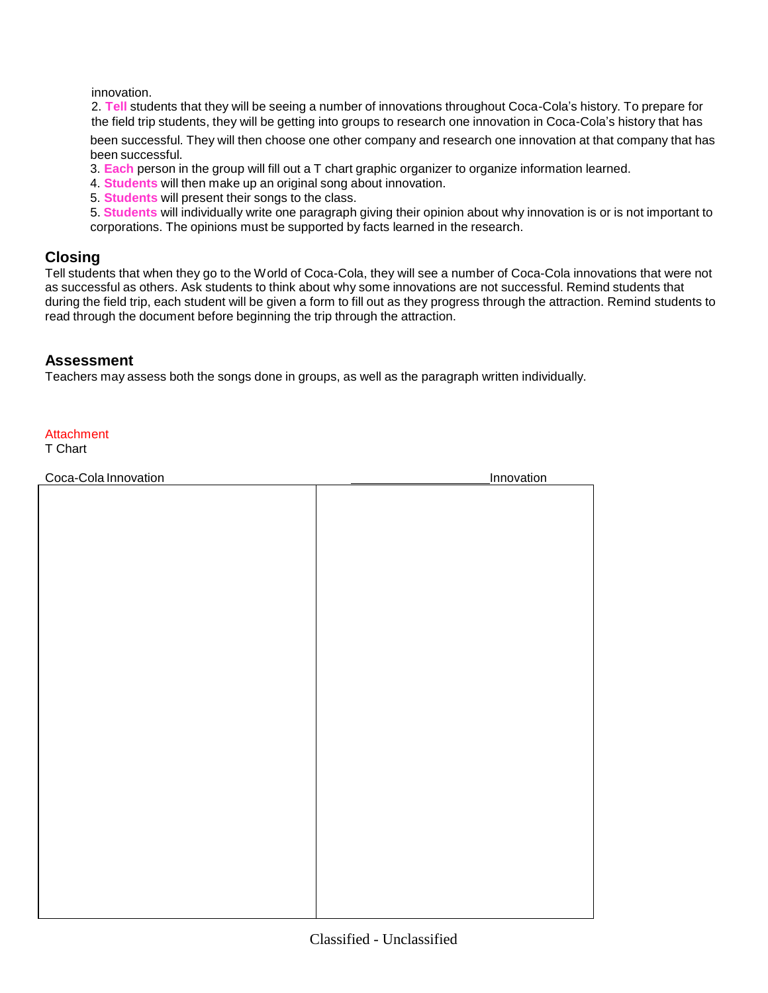innovation.

2. **Tell** students that they will be seeing a number of innovations throughout Coca-Cola's history. To prepare for the field trip students, they will be getting into groups to research one innovation in Coca-Cola's history that has

been successful. They will then choose one other company and research one innovation at that company that has been successful.

- 3. **Each** person in the group will fill out a T chart graphic organizer to organize information learned.
- 4. **Students** will then make up an original song about innovation.
- 5. **Students** will present their songs to the class.

5. **Students** will individually write one paragraph giving their opinion about why innovation is or is not important to corporations. The opinions must be supported by facts learned in the research.

## **Closing**

Tell students that when they go to the World of Coca-Cola, they will see a number of Coca-Cola innovations that were not as successful as others. Ask students to think about why some innovations are not successful. Remind students that during the field trip, each student will be given a form to fill out as they progress through the attraction. Remind students to read through the document before beginning the trip through the attraction.

#### **Assessment**

Teachers may assess both the songs done in groups, as well as the paragraph written individually.

#### **Attachment**

T Chart

| Coca-Cola Innovation<br>Innovation |  |
|------------------------------------|--|
|                                    |  |
|                                    |  |
|                                    |  |
|                                    |  |
|                                    |  |
|                                    |  |
|                                    |  |
|                                    |  |
|                                    |  |
|                                    |  |
|                                    |  |
|                                    |  |
|                                    |  |
|                                    |  |
|                                    |  |
|                                    |  |
|                                    |  |
|                                    |  |
|                                    |  |
|                                    |  |
|                                    |  |
|                                    |  |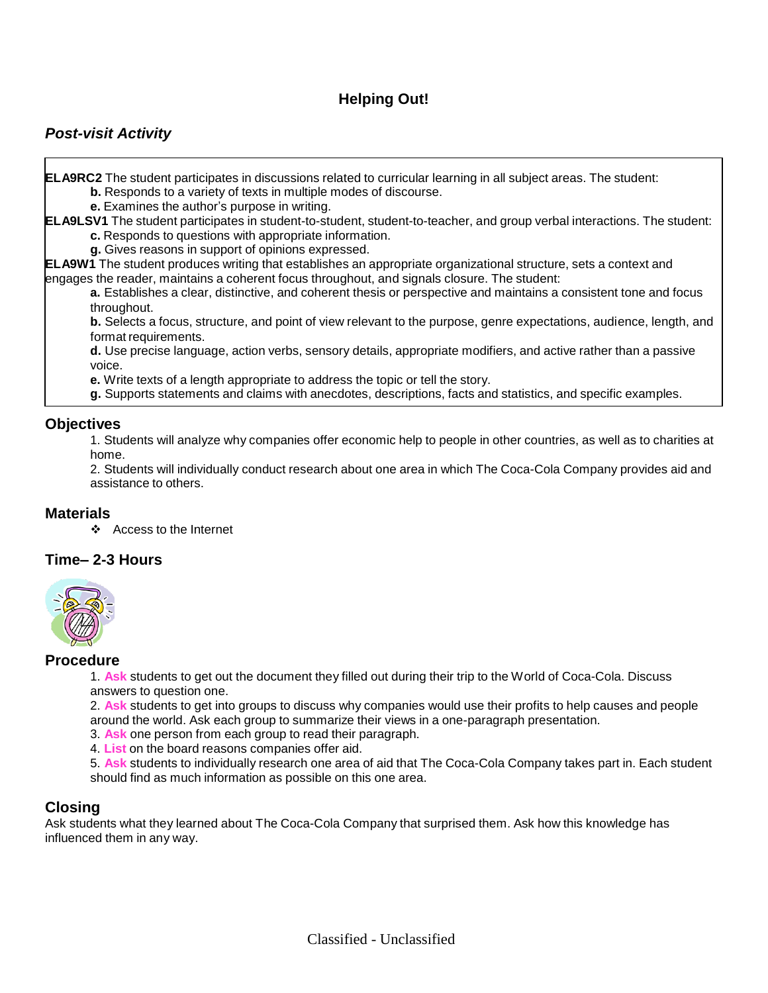# **Helping Out!**

## *Post-visit Activity*

**ELA9RC2** The student participates in discussions related to curricular learning in all subject areas. The student:

- **b.** Responds to a variety of texts in multiple modes of discourse.
- **e.** Examines the author's purpose in writing.

**ELA9LSV1** The student participates in student-to-student, student-to-teacher, and group verbal interactions. The student: **c.** Responds to questions with appropriate information.

**g.** Gives reasons in support of opinions expressed.

**ELA9W1** The student produces writing that establishes an appropriate organizational structure, sets a context and engages the reader, maintains a coherent focus throughout, and signals closure. The student:

**a.** Establishes a clear, distinctive, and coherent thesis or perspective and maintains a consistent tone and focus throughout.

**b.** Selects a focus, structure, and point of view relevant to the purpose, genre expectations, audience, length, and format requirements.

**d.** Use precise language, action verbs, sensory details, appropriate modifiers, and active rather than a passive voice.

**e.** Write texts of a length appropriate to address the topic or tell the story.

**g.** Supports statements and claims with anecdotes, descriptions, facts and statistics, and specific examples.

#### **Objectives**

1. Students will analyze why companies offer economic help to people in other countries, as well as to charities at home.

2. Students will individually conduct research about one area in which The Coca-Cola Company provides aid and assistance to others.

#### **Materials**

Access to the Internet

#### **Time– 2-3 Hours**



#### **Procedure**

1. **Ask** students to get out the document they filled out during their trip to the World of Coca-Cola. Discuss answers to question one.

2. **Ask** students to get into groups to discuss why companies would use their profits to help causes and people around the world. Ask each group to summarize their views in a one-paragraph presentation.

- 3. **Ask** one person from each group to read their paragraph.
- 4. **List** on the board reasons companies offer aid.

5. **Ask** students to individually research one area of aid that The Coca-Cola Company takes part in. Each student should find as much information as possible on this one area.

#### **Closing**

Ask students what they learned about The Coca-Cola Company that surprised them. Ask how this knowledge has influenced them in any way.